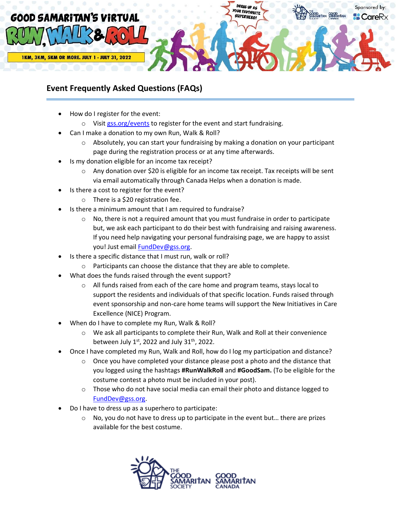

## **Event Frequently Asked Questions (FAQs)**

- How do I register for the event:
	- o Visit [gss.org/events](http://gss.org/events) to register for the event and start fundraising.
- Can I make a donation to my own Run, Walk & Roll?
	- $\circ$  Absolutely, you can start your fundraising by making a donation on your participant page during the registration process or at any time afterwards.
- Is my donation eligible for an income tax receipt?
	- $\circ$  Any donation over \$20 is eligible for an income tax receipt. Tax receipts will be sent via email automatically through Canada Helps when a donation is made.
- Is there a cost to register for the event?
	- o There is a \$20 registration fee.
- Is there a minimum amount that I am required to fundraise?
	- $\circ$  No, there is not a required amount that you must fundraise in order to participate but, we ask each participant to do their best with fundraising and raising awareness. If you need help navigating your personal fundraising page, we are happy to assist you! Just email **FundDev@gss.org**.
- Is there a specific distance that I must run, walk or roll?
	- o Participants can choose the distance that they are able to complete.
- What does the funds raised through the event support?
	- o All funds raised from each of the care home and program teams, stays local to support the residents and individuals of that specific location. Funds raised through event sponsorship and non-care home teams will support the New Initiatives in Care Excellence (NICE) Program.
- When do I have to complete my Run, Walk & Roll?
	- o We ask all participants to complete their Run, Walk and Roll at their convenience between July  $1<sup>st</sup>$ , 2022 and July 31<sup>th</sup>, 2022.
- Once I have completed my Run, Walk and Roll, how do I log my participation and distance?
	- $\circ$  Once you have completed your distance please post a photo and the distance that you logged using the hashtags **#RunWalkRoll** and **#GoodSam.** (To be eligible for the costume contest a photo must be included in your post).
	- $\circ$  Those who do not have social media can email their photo and distance logged to [FundDev@gss.org.](mailto:FundDev@gss.org)
- Do I have to dress up as a superhero to participate:
	- $\circ$  No, you do not have to dress up to participate in the event but... there are prizes available for the best costume.